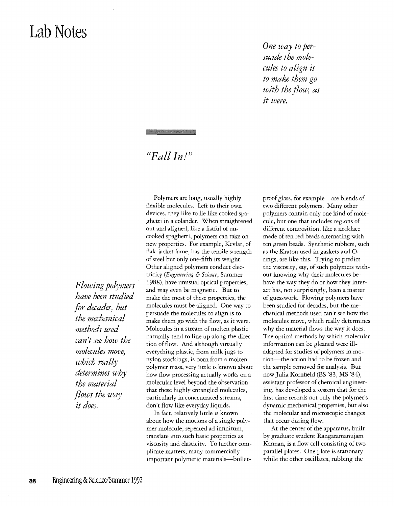## **Lab Notes**

*One way to persuade the molecules to align is to make them go with the flow) as it were.* 

## "Fall  $In$ !"

*Flowing polYlners have been studied for decades) but the mechanical methods used can't see how the molecules move) which really determines why the material flows the way it does.* 

Polymers are long, usually highly flexible molecules. Left to their own devices, they like to lie like cooked spaghetti in a colander. When straightened out and aligned, like a fistful of uncooked spaghetti, polymers can take on new properties. For example, Kevlar, of flak-jacket fame, has the tensile strength of steel bur only one-fifth its weight. Other aligned polymers conduct electricity (Engineering & Science, Summer 1988), have unusual optical properties, and may even be magnetic. But to make the most of these properties, the molecules must be aligned. One way to persuade the molecules to align is to make them go with the flow, as it were. Molecules in a stream of molten plastic naturally tend to line up along the direction of flow. And although virtually everything plastic, from milk jugs to nylon stockings, is born from a molten polymer mass, very little is known about how flow processing actually works on a molecular level beyond the observation that these highly entangled molecules, particularly in concentrated streams, don't flow like everyday liquids.

In fact, relatively little is known about how the motions of a single polymer molecule, repeated ad infinitum, translate into such basic properties as viscosity and elasticity. To further complicate matters, many commercially important polymeric materials-bulletproof glass, for example-are blends of two different polymers. Many other polymers contain only one kind of molecule, but one that includes regions of different composition, like a necklace made of ten red beads alternating with ten green beads. Synthetic rubbers, such as the Kraton used in gaskets and 0 rings, are like this. Trying to predict the viscosity, say, of such polymers without knowing why their molecules behave the way they do or how they interact has, not surprisingly, been a matter of guesswork. Flowing polymers have been studied for decades, but the mechanical methods used can't see how the molecules move, which really determines why the material flows the way it does. The oprical methods by which molecular information can be gleaned were iUadapted for studies of polymers in motion-the action had to be frozen and the sample removed for analysis. But now Julia Kornfield (BS '83, MS '84), assistant professor of chemical engineering, has developed a system that for the first time records not only the polymer's dynamic mechanical properties, but also the molecular and microscopic changes that occur during flow.

At the center of the apparatus, built by graduate student Rangaramanujam Kannan, is a flow cell consisting of two parallel plates. One plate is stationary while the other oscillates, rubbing the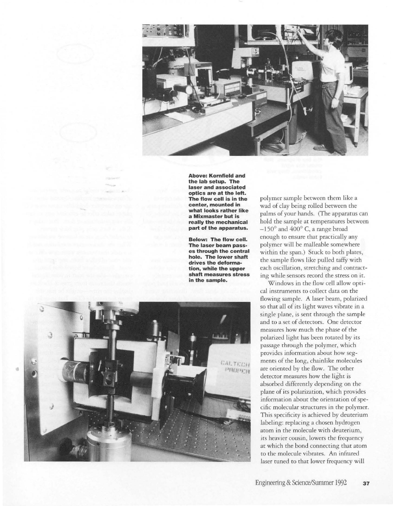

**Above; Kornfield and the lab setup. The laser and associated optics are at the left. The flow cell is in the center, mounted in what looks rather like a Mixmaster but is really the mechanical part of the apparatus.** 

**Below: The flow cell. The laser beam passes through the central hole\_ The lower shaft drives the deformation, while the upper shaft measures stress in the sample.** 



po lymer sample be tween them like a wad of clay being rolled between the palms of your ha nds. (The apparatus can ho ld the sa mple at temperatures between  $-150^\circ$  and  $400^\circ$  C, a range broad enough to ensure that practically any polymer will be m allea ble somewhere within the span.) Stuck to both plates, t he sa mple flows l i ke pulled mffy wirh each oscillation, stretching and contracting while sensors record the stress on it.

Wi ndows in t he flow cell allow opt i caJ instru ments to collect data on the flow ing samp le. A laser beam, po l a rized so that all of its light waves vibrate in a single plane, is sent through the sample a nd to a set of detectors. O ne detector measu res how m uch the phase of t he polarized light has been rotated by its passage t hrough the po l y m e r, whi ch prov ides informat i on a bout how segments of the long, chainlike molecules are or iented by t he flow. The other detector measures how the light is absorbed d ifferently depe nding on rhe pl a ne of its po larization , whi ch prov ides information about the orientation of specific molecular structures in the polymer. This specificity is achieved by deuterium label ing: replacing a chosen hydrogen atom in t he mo lecule w ith deuterium, its heavier cousin, lowers the frequency at w hich t he bond connecting that atom to the mo lecu le vibrates. An infr a red laser tuned to that lower frequency will